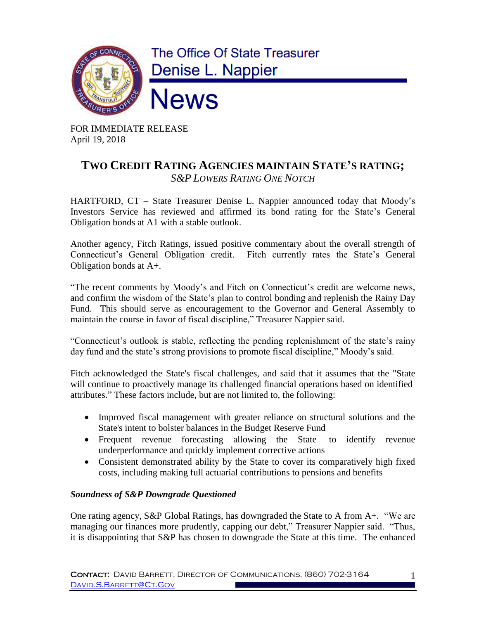

FOR IMMEDIATE RELEASE April 19, 2018

## **TWO CREDIT RATING AGENCIES MAINTAIN STATE'S RATING;** *S&P LOWERS RATING ONE NOTCH*

HARTFORD, CT – State Treasurer Denise L. Nappier announced today that Moody's Investors Service has reviewed and affirmed its bond rating for the State's General Obligation bonds at A1 with a stable outlook.

Another agency, Fitch Ratings, issued positive commentary about the overall strength of Connecticut's General Obligation credit. Fitch currently rates the State's General Obligation bonds at A+.

"The recent comments by Moody's and Fitch on Connecticut's credit are welcome news, and confirm the wisdom of the State's plan to control bonding and replenish the Rainy Day Fund. This should serve as encouragement to the Governor and General Assembly to maintain the course in favor of fiscal discipline," Treasurer Nappier said.

"Connecticut's outlook is stable, reflecting the pending replenishment of the state's rainy day fund and the state's strong provisions to promote fiscal discipline," Moody's said.

Fitch acknowledged the State's fiscal challenges, and said that it assumes that the "State will continue to proactively manage its challenged financial operations based on identified attributes." These factors include, but are not limited to, the following:

- Improved fiscal management with greater reliance on structural solutions and the State's intent to bolster balances in the Budget Reserve Fund
- Frequent revenue forecasting allowing the State to identify revenue underperformance and quickly implement corrective actions
- Consistent demonstrated ability by the State to cover its comparatively high fixed costs, including making full actuarial contributions to pensions and benefits

## *Soundness of S&P Downgrade Questioned*

One rating agency, S&P Global Ratings, has downgraded the State to A from A+. "We are managing our finances more prudently, capping our debt," Treasurer Nappier said. "Thus, it is disappointing that S&P has chosen to downgrade the State at this time. The enhanced

1